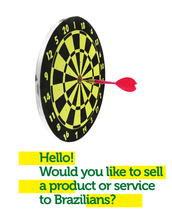

# Hello! Would you like to sell a product or service to Brazilians?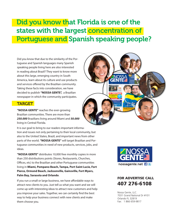## Did you know that Florida is one of the states with the largest concentration of Portuguese and Spanish speaking people?

Did you know that due to the similarity of the Portuguese and Spanish languages many Spanish speaking people living here are also interested in reading about Brazil? They want to know more about this large, emerging country in South America, learn about its culture and use products and services offered by the Brazilian community. Taking these facts into consideration, we have decided to publish **"NOSSA GENTE",** a Brazilian newspaper in which the community participates.

## TARGET

**"NOSSA GENTE"** reaches the ever-growing Brazilian communities. There are more than *250.000* Brazilians living around Miami and *50.000* living in Central Florida.

It is our goal to bring to our readers important information and issues not only pertaining to their local community, but also to the United States, Brazil, and important news from other parts of the world. **"NOSSA GENTE"** will target Brazilian and Portuguese communities in need of new products, services, jobs, and ideas.

**"NOSSA GENTE"** distributes 10,000 free monthly copies in more than 250 distributions points (Stores, Restaurants, Churches, Offices, etc) to the Brazilian and other Portuguese communities living in **Miami, Pompano Beach, Tampa, Port Saint Lucie, Fort Pierce, Ormond Beach, Jacksonville, Gainsville, Fort Myers, Palm Bay, Sarasota and Orlando**.

If you run a small or large business, we have affordable ways to attract new clients to you. Just tell us what you want and we will come up with interesting ideas to attract new customers and help you improve your sales. Together, we can certainly find the best way to help your business connect with new clients and make them choose you.





## FOR ADVERTISE CALL 407 276-6108

Nossa Gente, LLC. 7031 Grand National Dr #101 Orlando FL 32819 Fax: 1 866 659-9817